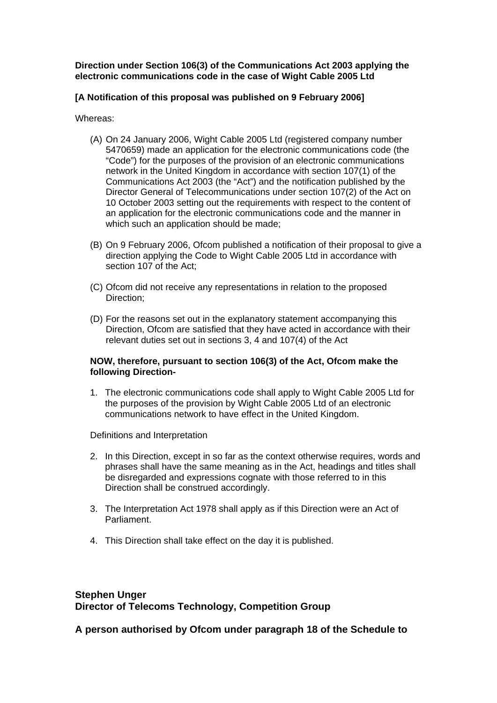**Direction under Section 106(3) of the Communications Act 2003 applying the electronic communications code in the case of Wight Cable 2005 Ltd** 

#### **[A Notification of this proposal was published on 9 February 2006]**

Whereas:

- (A) On 24 January 2006, Wight Cable 2005 Ltd (registered company number 5470659) made an application for the electronic communications code (the "Code") for the purposes of the provision of an electronic communications network in the United Kingdom in accordance with section 107(1) of the Communications Act 2003 (the "Act") and the notification published by the Director General of Telecommunications under section 107(2) of the Act on 10 October 2003 setting out the requirements with respect to the content of an application for the electronic communications code and the manner in which such an application should be made;
- (B) On 9 February 2006, Ofcom published a notification of their proposal to give a direction applying the Code to Wight Cable 2005 Ltd in accordance with section 107 of the Act;
- (C) Ofcom did not receive any representations in relation to the proposed Direction;
- (D) For the reasons set out in the explanatory statement accompanying this Direction, Ofcom are satisfied that they have acted in accordance with their relevant duties set out in sections 3, 4 and 107(4) of the Act

#### **NOW, therefore, pursuant to section 106(3) of the Act, Ofcom make the following Direction-**

1. The electronic communications code shall apply to Wight Cable 2005 Ltd for the purposes of the provision by Wight Cable 2005 Ltd of an electronic communications network to have effect in the United Kingdom.

Definitions and Interpretation

- 2. In this Direction, except in so far as the context otherwise requires, words and phrases shall have the same meaning as in the Act, headings and titles shall be disregarded and expressions cognate with those referred to in this Direction shall be construed accordingly.
- 3. The Interpretation Act 1978 shall apply as if this Direction were an Act of Parliament.
- 4. This Direction shall take effect on the day it is published.

# **Stephen Unger Director of Telecoms Technology, Competition Group**

**A person authorised by Ofcom under paragraph 18 of the Schedule to**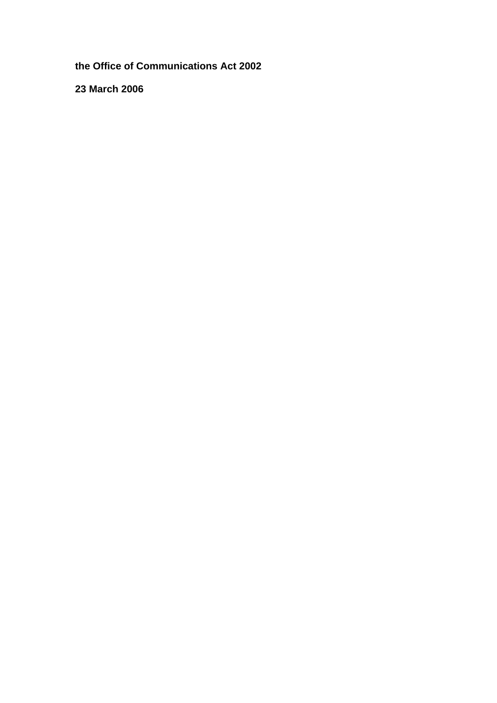**the Office of Communications Act 2002** 

**23 March 2006**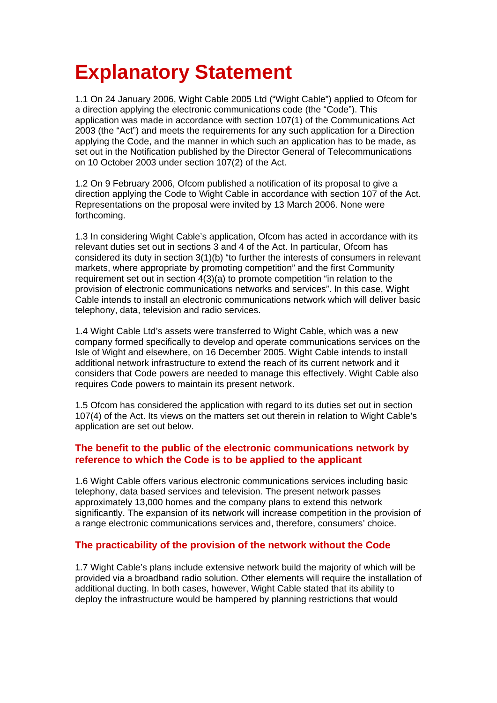# **Explanatory Statement**

1.1 On 24 January 2006, Wight Cable 2005 Ltd ("Wight Cable") applied to Ofcom for a direction applying the electronic communications code (the "Code"). This application was made in accordance with section 107(1) of the Communications Act 2003 (the "Act") and meets the requirements for any such application for a Direction applying the Code, and the manner in which such an application has to be made, as set out in the Notification published by the Director General of Telecommunications on 10 October 2003 under section 107(2) of the Act.

1.2 On 9 February 2006, Ofcom published a notification of its proposal to give a direction applying the Code to Wight Cable in accordance with section 107 of the Act. Representations on the proposal were invited by 13 March 2006. None were forthcoming.

1.3 In considering Wight Cable's application, Ofcom has acted in accordance with its relevant duties set out in sections 3 and 4 of the Act. In particular, Ofcom has considered its duty in section 3(1)(b) "to further the interests of consumers in relevant markets, where appropriate by promoting competition" and the first Community requirement set out in section 4(3)(a) to promote competition "in relation to the provision of electronic communications networks and services". In this case, Wight Cable intends to install an electronic communications network which will deliver basic telephony, data, television and radio services.

1.4 Wight Cable Ltd's assets were transferred to Wight Cable, which was a new company formed specifically to develop and operate communications services on the Isle of Wight and elsewhere, on 16 December 2005. Wight Cable intends to install additional network infrastructure to extend the reach of its current network and it considers that Code powers are needed to manage this effectively. Wight Cable also requires Code powers to maintain its present network.

1.5 Ofcom has considered the application with regard to its duties set out in section 107(4) of the Act. Its views on the matters set out therein in relation to Wight Cable's application are set out below.

# **The benefit to the public of the electronic communications network by reference to which the Code is to be applied to the applicant**

1.6 Wight Cable offers various electronic communications services including basic telephony, data based services and television. The present network passes approximately 13,000 homes and the company plans to extend this network significantly. The expansion of its network will increase competition in the provision of a range electronic communications services and, therefore, consumers' choice.

# **The practicability of the provision of the network without the Code**

1.7 Wight Cable's plans include extensive network build the majority of which will be provided via a broadband radio solution. Other elements will require the installation of additional ducting. In both cases, however, Wight Cable stated that its ability to deploy the infrastructure would be hampered by planning restrictions that would